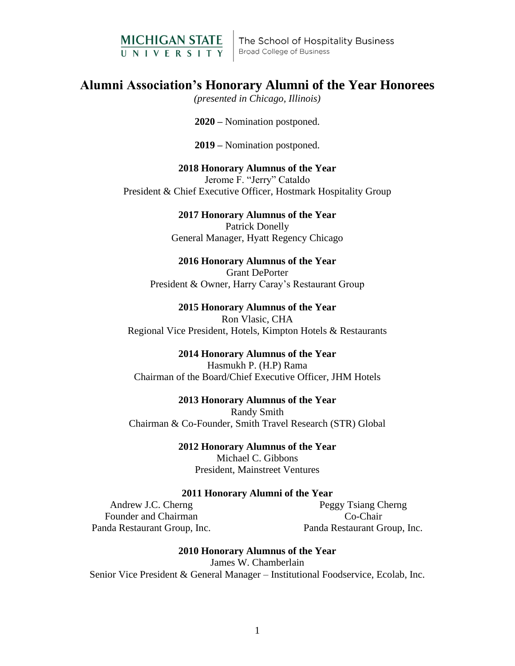

The School of Hospitality Business **Broad College of Business** 

# **Alumni Association's Honorary Alumni of the Year Honorees**

*(presented in Chicago, Illinois)*

**2020 –** Nomination postponed.

**2019 –** Nomination postponed.

**2018 Honorary Alumnus of the Year** Jerome F. "Jerry" Cataldo President & Chief Executive Officer, Hostmark Hospitality Group

> **2017 Honorary Alumnus of the Year** Patrick Donelly General Manager, Hyatt Regency Chicago

# **2016 Honorary Alumnus of the Year**

Grant DePorter President & Owner, Harry Caray's Restaurant Group

**2015 Honorary Alumnus of the Year** Ron Vlasic, CHA Regional Vice President, Hotels, Kimpton Hotels & Restaurants

# **2014 Honorary Alumnus of the Year**

Hasmukh P. (H.P) Rama Chairman of the Board/Chief Executive Officer, JHM Hotels

## **2013 Honorary Alumnus of the Year**

Randy Smith Chairman & Co-Founder, Smith Travel Research (STR) Global

> **2012 Honorary Alumnus of the Year** Michael C. Gibbons President, Mainstreet Ventures

## **2011 Honorary Alumni of the Year**

Andrew J.C. Cherng Founder and Chairman Panda Restaurant Group, Inc.

Peggy Tsiang Cherng Co-Chair Panda Restaurant Group, Inc.

**2010 Honorary Alumnus of the Year** James W. Chamberlain Senior Vice President & General Manager – Institutional Foodservice, Ecolab, Inc.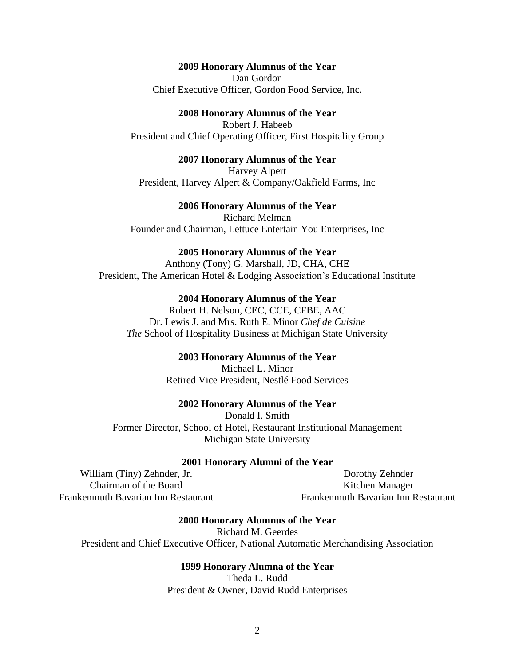# **2009 Honorary Alumnus of the Year**

Dan Gordon Chief Executive Officer, Gordon Food Service, Inc.

# **2008 Honorary Alumnus of the Year**

Robert J. Habeeb President and Chief Operating Officer, First Hospitality Group

## **2007 Honorary Alumnus of the Year**

Harvey Alpert President, Harvey Alpert & Company/Oakfield Farms, Inc

# **2006 Honorary Alumnus of the Year**

Richard Melman Founder and Chairman, Lettuce Entertain You Enterprises, Inc

#### **2005 Honorary Alumnus of the Year**

Anthony (Tony) G. Marshall, JD, CHA, CHE President, The American Hotel & Lodging Association's Educational Institute

#### **2004 Honorary Alumnus of the Year**

Robert H. Nelson, CEC, CCE, CFBE, AAC Dr. Lewis J. and Mrs. Ruth E. Minor *Chef de Cuisine The* School of Hospitality Business at Michigan State University

## **2003 Honorary Alumnus of the Year**

Michael L. Minor Retired Vice President, Nestlé Food Services

#### **2002 Honorary Alumnus of the Year**

Donald I. Smith Former Director, School of Hotel, Restaurant Institutional Management Michigan State University

#### **2001 Honorary Alumni of the Year**

William (Tiny) Zehnder, Jr. Chairman of the Board Frankenmuth Bavarian Inn Restaurant

Dorothy Zehnder Kitchen Manager Frankenmuth Bavarian Inn Restaurant

#### **2000 Honorary Alumnus of the Year**

Richard M. Geerdes President and Chief Executive Officer, National Automatic Merchandising Association

#### **1999 Honorary Alumna of the Year**

Theda L. Rudd President & Owner, David Rudd Enterprises